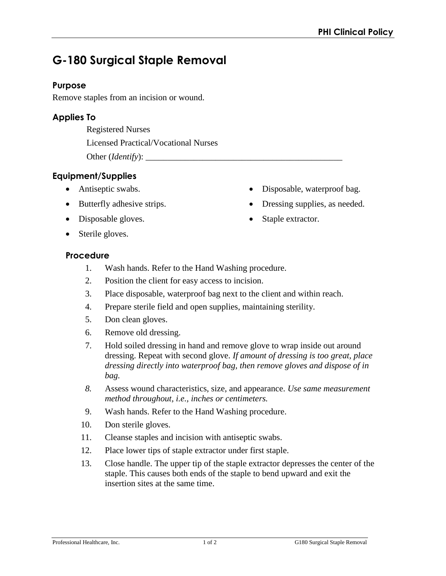Disposable, waterproof bag.

Staple extractor.

Dressing supplies, as needed.

# **G-180 Surgical Staple Removal**

## **Purpose**

Remove staples from an incision or wound.

## **Applies To**

Registered Nurses Licensed Practical/Vocational Nurses

Other (*Identify*):

## **Equipment/Supplies**

- Antiseptic swabs.
- Butterfly adhesive strips.
- Disposable gloves.
- Sterile gloves.
- **Procedure** 
	- 1. Wash hands. Refer to the Hand Washing procedure.
	- 2. Position the client for easy access to incision.
	- 3. Place disposable, waterproof bag next to the client and within reach.
	- 4. Prepare sterile field and open supplies, maintaining sterility.
	- 5. Don clean gloves.
	- 6. Remove old dressing.
	- 7. Hold soiled dressing in hand and remove glove to wrap inside out around dressing. Repeat with second glove. *If amount of dressing is too great, place dressing directly into waterproof bag, then remove gloves and dispose of in bag.*
	- *8.* Assess wound characteristics, size, and appearance. *Use same measurement method throughout, i.e., inches or centimeters.*
	- 9. Wash hands. Refer to the Hand Washing procedure.
	- 10. Don sterile gloves.
	- 11. Cleanse staples and incision with antiseptic swabs.
	- 12. Place lower tips of staple extractor under first staple.
	- 13. Close handle. The upper tip of the staple extractor depresses the center of the staple. This causes both ends of the staple to bend upward and exit the insertion sites at the same time.